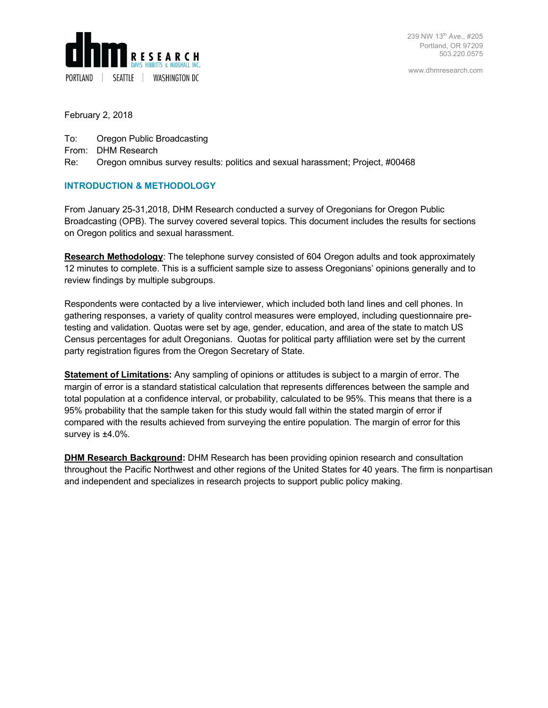

239 NW 13th Ave., #205 Portland, OR 97209 503.220.0575

www.dhmresearch.com

February 2, 2018

To: Oregon Public Broadcasting

From: DHM Research

Re: Oregon omnibus survey results: politics and sexual harassment; Project, #00468

## **INTRODUCTION & METHODOLOGY**

From January 25-31,2018, DHM Research conducted a survey of Oregonians for Oregon Public Broadcasting (OPB). The survey covered several topics. This document includes the results for sections on Oregon politics and sexual harassment.

**Research Methodology**: The telephone survey consisted of 604 Oregon adults and took approximately 12 minutes to complete. This is a sufficient sample size to assess Oregonians' opinions generally and to review findings by multiple subgroups.

Respondents were contacted by a live interviewer, which included both land lines and cell phones. In gathering responses, a variety of quality control measures were employed, including questionnaire pretesting and validation. Quotas were set by age, gender, education, and area of the state to match US Census percentages for adult Oregonians. Quotas for political party affiliation were set by the current party registration figures from the Oregon Secretary of State.

**Statement of Limitations:** Any sampling of opinions or attitudes is subject to a margin of error. The margin of error is a standard statistical calculation that represents differences between the sample and total population at a confidence interval, or probability, calculated to be 95%. This means that there is a 95% probability that the sample taken for this study would fall within the stated margin of error if compared with the results achieved from surveying the entire population. The margin of error for this survey is ±4.0%.

**DHM Research Background:** DHM Research has been providing opinion research and consultation throughout the Pacific Northwest and other regions of the United States for 40 years. The firm is nonpartisan and independent and specializes in research projects to support public policy making.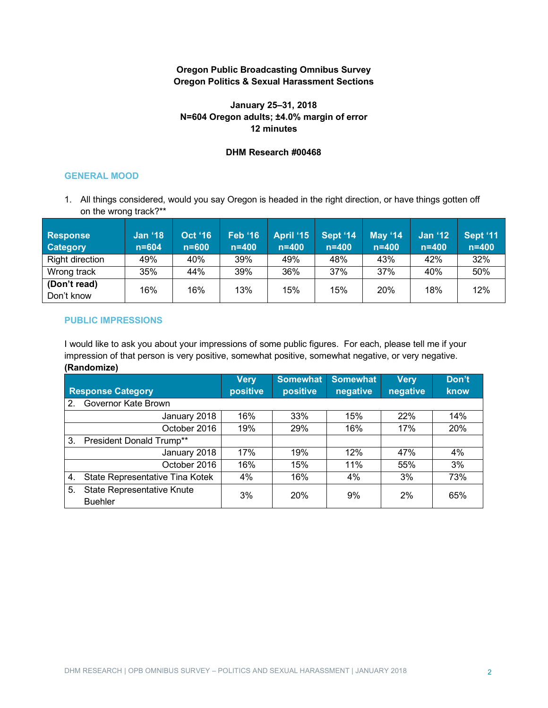# **Oregon Public Broadcasting Omnibus Survey Oregon Politics & Sexual Harassment Sections**

# **January 25–31, 2018 N=604 Oregon adults; ±4.0% margin of error 12 minutes**

## **DHM Research #00468**

## **GENERAL MOOD**

1. All things considered, would you say Oregon is headed in the right direction, or have things gotten off on the wrong track?\*\*

| <b>Response</b><br><b>Category</b> | <b>Jan '18</b><br>$n = 604$ | <b>Oct '16</b><br>$n = 600$ | <b>Feb '16</b><br>$n=400$ | April '15<br>$n = 400$ | <b>Sept '14</b><br>$n = 400$ | <b>May '14</b><br>$n = 400$ | <b>Jan '12</b><br>$n = 400$ | <b>Sept '11</b><br>$n = 400$ |
|------------------------------------|-----------------------------|-----------------------------|---------------------------|------------------------|------------------------------|-----------------------------|-----------------------------|------------------------------|
| <b>Right direction</b>             | 49%                         | 40%                         | 39%                       | 49%                    | 48%                          | 43%                         | 42%                         | 32%                          |
| Wrong track                        | 35%                         | 44%                         | 39%                       | 36%                    | 37%                          | 37%                         | 40%                         | 50%                          |
| (Don't read)<br>Don't know         | 16%                         | 16%                         | 13%                       | 15%                    | 15%                          | 20%                         | 18%                         | 12%                          |

## **PUBLIC IMPRESSIONS**

I would like to ask you about your impressions of some public figures. For each, please tell me if your impression of that person is very positive, somewhat positive, somewhat negative, or very negative. **(Randomize)**

|                  | <b>Response Category</b>                            | <b>Very</b><br>positive | <b>Somewhat</b><br>positive | <b>Somewhat</b><br>negative | <b>Very</b><br>negative | Don't<br>know |
|------------------|-----------------------------------------------------|-------------------------|-----------------------------|-----------------------------|-------------------------|---------------|
| 2.               | Governor Kate Brown                                 |                         |                             |                             |                         |               |
|                  | January 2018                                        | 16%                     | 33%                         | 15%                         | 22%                     | 14%           |
|                  | October 2016                                        | 19%                     | 29%                         | 16%                         | 17%                     | 20%           |
| 3.               | President Donald Trump**                            |                         |                             |                             |                         |               |
|                  | January 2018                                        | 17%                     | 19%                         | 12%                         | 47%                     | 4%            |
|                  | October 2016                                        | 16%                     | 15%                         | 11%                         | 55%                     | 3%            |
| $\overline{4}$ . | State Representative Tina Kotek                     | 4%                      | 16%                         | 4%                          | 3%                      | 73%           |
| 5.               | <b>State Representative Knute</b><br><b>Buehler</b> | 3%                      | 20%                         | 9%                          | 2%                      | 65%           |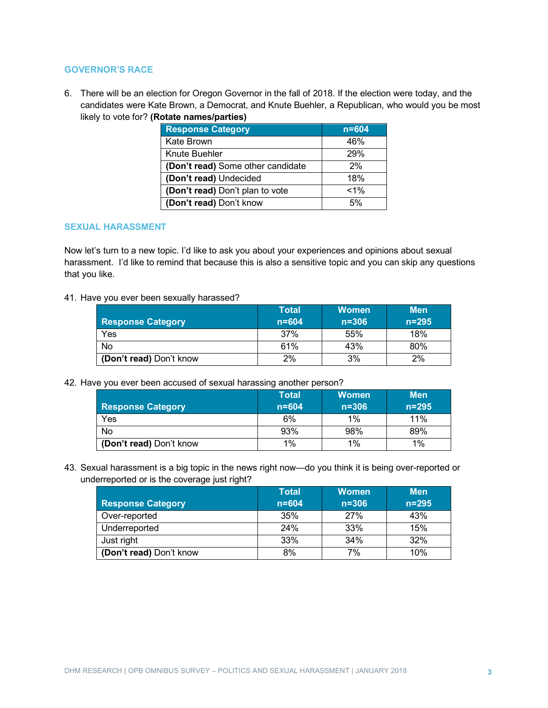## **GOVERNOR'S RACE**

6. There will be an election for Oregon Governor in the fall of 2018. If the election were today, and the candidates were Kate Brown, a Democrat, and Knute Buehler, a Republican, who would you be most likely to vote for? **(Rotate names/parties)**

| <b>Response Category</b>          | $n = 604$ |
|-----------------------------------|-----------|
| Kate Brown                        | 46%       |
| Knute Buehler                     | 29%       |
| (Don't read) Some other candidate | 2%        |
| (Don't read) Undecided            | 18%       |
| (Don't read) Don't plan to vote   | $< 1\%$   |
| (Don't read) Don't know           | 5%        |

#### **SEXUAL HARASSMENT**

Now let's turn to a new topic. I'd like to ask you about your experiences and opinions about sexual harassment. I'd like to remind that because this is also a sensitive topic and you can skip any questions that you like.

#### 41. Have you ever been sexually harassed?

|                          | Total     | <b>Women</b> | <b>Men</b> |
|--------------------------|-----------|--------------|------------|
| <b>Response Category</b> | $n = 604$ | $n = 306$    | $n = 295$  |
| Yes                      | 37%       | 55%          | 18%        |
| No                       | 61%       | 43%          | 80%        |
| (Don't read) Don't know  | 2%        | 3%           | 2%         |

#### 42. Have you ever been accused of sexual harassing another person?

|                          | <b>Total</b> | <b>Women</b><br>$n = 306$ | <b>Men</b> |
|--------------------------|--------------|---------------------------|------------|
| <b>Response Category</b> | $n = 604$    |                           | $n = 295$  |
| Yes                      | 6%           | 1%                        | 11%        |
| No                       | 93%          | 98%                       | 89%        |
| (Don't read) Don't know  | 1%           | 1%                        | 1%         |

43. Sexual harassment is a big topic in the news right now—do you think it is being over-reported or underreported or is the coverage just right?

|                          | <b>Total</b> | <b>Women</b> | <b>Men</b> |
|--------------------------|--------------|--------------|------------|
| <b>Response Category</b> | $n = 604$    | $n = 306$    | $n = 295$  |
| Over-reported            | 35%          | 27%          | 43%        |
| Underreported            | 24%          | 33%          | 15%        |
| Just right               | 33%          | 34%          | 32%        |
| (Don't read) Don't know  | 8%           | 7%           | 10%        |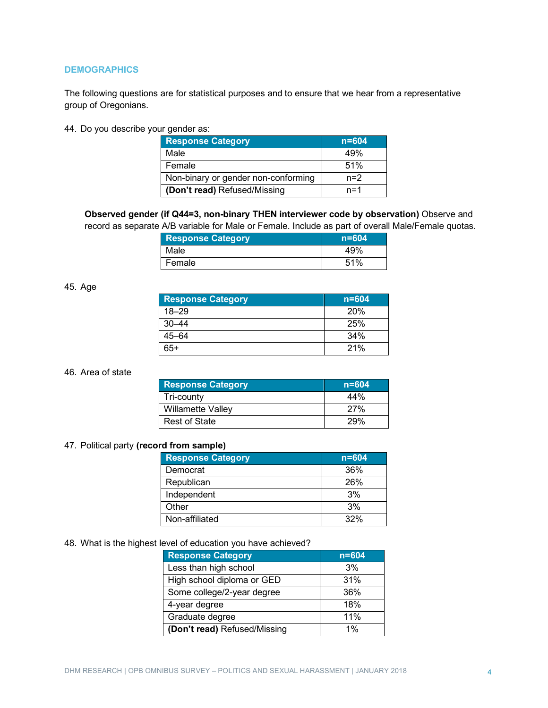#### **DEMOGRAPHICS**

The following questions are for statistical purposes and to ensure that we hear from a representative group of Oregonians.

44. Do you describe your gender as:

| <b>Response Category</b>            | n=604¦  |
|-------------------------------------|---------|
| Male                                | 49%     |
| Female                              | 51%     |
| Non-binary or gender non-conforming | $n=2$   |
| (Don't read) Refused/Missing        | $n = 1$ |

**Observed gender (if Q44=3, non-binary THEN interviewer code by observation)** Observe and record as separate A/B variable for Male or Female. Include as part of overall Male/Female quotas.

| <b>Response Category</b> | $n = 604$ |
|--------------------------|-----------|
| Male                     | 49%       |
| Female                   | 51%       |

## 45. Age

| <b>Response Category</b> | $n = 604$ |
|--------------------------|-----------|
| 18–29                    | 20%       |
| $30 - 44$                | 25%       |
| 45–64                    | 34%       |
| 65+                      | 21%       |

#### 46. Area of state

| <b>Response Category</b> | .n=604' |
|--------------------------|---------|
| Tri-county               | 44%     |
| <b>Willamette Valley</b> | 27%     |
| <b>Rest of State</b>     | 29%     |

#### 47. Political party **(record from sample)**

| <b>Response Category</b> | $n = 604$ |
|--------------------------|-----------|
| Democrat                 | 36%       |
| Republican               | 26%       |
| Independent              | 3%        |
| Other                    | 3%        |
| Non-affiliated           | 32%       |

### 48. What is the highest level of education you have achieved?

| <b>Response Category</b>     | $n = 604$ |
|------------------------------|-----------|
| Less than high school        | 3%        |
| High school diploma or GED   | 31%       |
| Some college/2-year degree   | 36%       |
| 4-year degree                | 18%       |
| Graduate degree              | 11%       |
| (Don't read) Refused/Missing | 1%        |